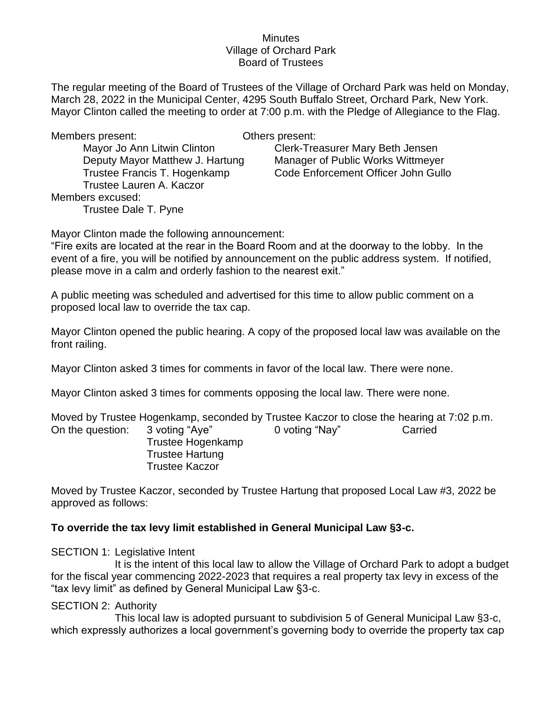#### **Minutes** Village of Orchard Park Board of Trustees

The regular meeting of the Board of Trustees of the Village of Orchard Park was held on Monday, March 28, 2022 in the Municipal Center, 4295 South Buffalo Street, Orchard Park, New York. Mayor Clinton called the meeting to order at 7:00 p.m. with the Pledge of Allegiance to the Flag.

Members present: Others present:

Trustee Lauren A. Kaczor Members excused: Trustee Dale T. Pyne

Mayor Jo Ann Litwin Clinton Case Clerk-Treasurer Mary Beth Jensen Deputy Mayor Matthew J. Hartung Manager of Public Works Wittmeyer Trustee Francis T. Hogenkamp Code Enforcement Officer John Gullo

Mayor Clinton made the following announcement:

"Fire exits are located at the rear in the Board Room and at the doorway to the lobby. In the event of a fire, you will be notified by announcement on the public address system. If notified, please move in a calm and orderly fashion to the nearest exit."

A public meeting was scheduled and advertised for this time to allow public comment on a proposed local law to override the tax cap.

Mayor Clinton opened the public hearing. A copy of the proposed local law was available on the front railing.

Mayor Clinton asked 3 times for comments in favor of the local law. There were none.

Mayor Clinton asked 3 times for comments opposing the local law. There were none.

Moved by Trustee Hogenkamp, seconded by Trustee Kaczor to close the hearing at 7:02 p.m. On the question: 3 voting "Aye" 0 voting "Nay" Carried Trustee Hogenkamp Trustee Hartung Trustee Kaczor

Moved by Trustee Kaczor, seconded by Trustee Hartung that proposed Local Law #3, 2022 be approved as follows:

# **To override the tax levy limit established in General Municipal Law §3-c.**

### SECTION 1: Legislative Intent

It is the intent of this local law to allow the Village of Orchard Park to adopt a budget for the fiscal year commencing 2022-2023 that requires a real property tax levy in excess of the "tax levy limit" as defined by General Municipal Law §3-c.

### SECTION 2: Authority

This local law is adopted pursuant to subdivision 5 of General Municipal Law §3-c, which expressly authorizes a local government's governing body to override the property tax cap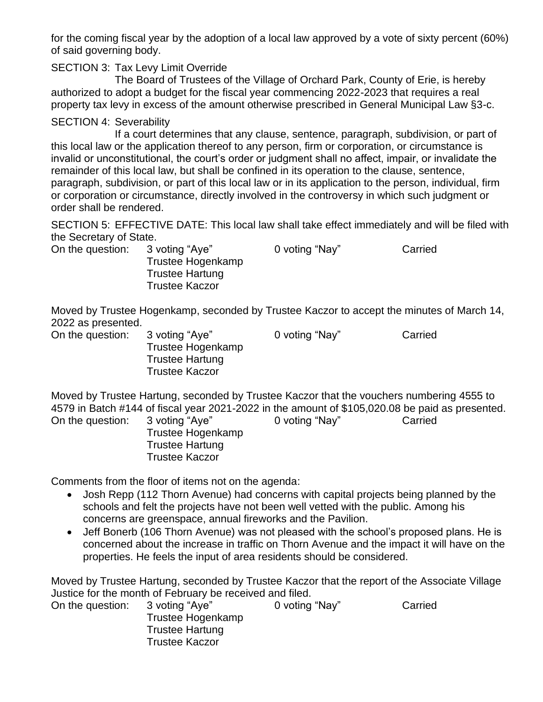for the coming fiscal year by the adoption of a local law approved by a vote of sixty percent (60%) of said governing body.

## SECTION 3: Tax Levy Limit Override

The Board of Trustees of the Village of Orchard Park, County of Erie, is hereby authorized to adopt a budget for the fiscal year commencing 2022-2023 that requires a real property tax levy in excess of the amount otherwise prescribed in General Municipal Law §3-c.

### SECTION 4: Severability

If a court determines that any clause, sentence, paragraph, subdivision, or part of this local law or the application thereof to any person, firm or corporation, or circumstance is invalid or unconstitutional, the court's order or judgment shall no affect, impair, or invalidate the remainder of this local law, but shall be confined in its operation to the clause, sentence, paragraph, subdivision, or part of this local law or in its application to the person, individual, firm or corporation or circumstance, directly involved in the controversy in which such judgment or order shall be rendered.

SECTION 5: EFFECTIVE DATE: This local law shall take effect immediately and will be filed with the Secretary of State.

| On the question: | 3 voting "Aye"<br>Trustee Hogenkamp             | 0 voting "Nay" | Carried |
|------------------|-------------------------------------------------|----------------|---------|
|                  | <b>Trustee Hartung</b><br><b>Trustee Kaczor</b> |                |         |

Moved by Trustee Hogenkamp, seconded by Trustee Kaczor to accept the minutes of March 14, 2022 as presented.

| On the question: | 3 voting "Aye"         | 0 voting "Nay" | Carried |
|------------------|------------------------|----------------|---------|
|                  | Trustee Hogenkamp      |                |         |
|                  | <b>Trustee Hartung</b> |                |         |
|                  | <b>Trustee Kaczor</b>  |                |         |
|                  |                        |                |         |

Moved by Trustee Hartung, seconded by Trustee Kaczor that the vouchers numbering 4555 to 4579 in Batch #144 of fiscal year 2021-2022 in the amount of \$105,020.08 be paid as presented. On the question: 3 voting "Aye" 0 voting "Nay" Carried

Trustee Hogenkamp Trustee Hartung Trustee Kaczor

Comments from the floor of items not on the agenda:

- Josh Repp (112 Thorn Avenue) had concerns with capital projects being planned by the schools and felt the projects have not been well vetted with the public. Among his concerns are greenspace, annual fireworks and the Pavilion.
- Jeff Bonerb (106 Thorn Avenue) was not pleased with the school's proposed plans. He is concerned about the increase in traffic on Thorn Avenue and the impact it will have on the properties. He feels the input of area residents should be considered.

Moved by Trustee Hartung, seconded by Trustee Kaczor that the report of the Associate Village Justice for the month of February be received and filed.

| On the question: | 3 voting "Aye"         | 0 voting "Nay" | Carried |
|------------------|------------------------|----------------|---------|
|                  | Trustee Hogenkamp      |                |         |
|                  | <b>Trustee Hartung</b> |                |         |
|                  | <b>Trustee Kaczor</b>  |                |         |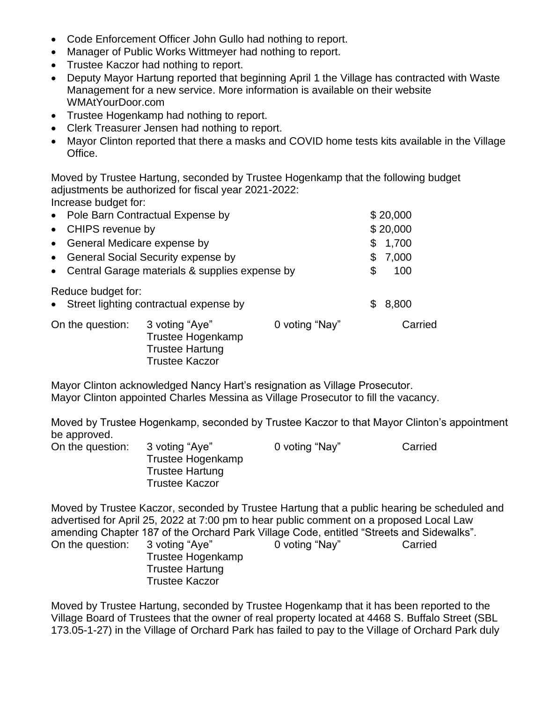- Code Enforcement Officer John Gullo had nothing to report.
- Manager of Public Works Wittmeyer had nothing to report.
- Trustee Kaczor had nothing to report.
- Deputy Mayor Hartung reported that beginning April 1 the Village has contracted with Waste Management for a new service. More information is available on their website WMAtYourDoor.com
- Trustee Hogenkamp had nothing to report.
- Clerk Treasurer Jensen had nothing to report.
- Mayor Clinton reported that there a masks and COVID home tests kits available in the Village Office.

Moved by Trustee Hartung, seconded by Trustee Hogenkamp that the following budget adjustments be authorized for fiscal year 2021-2022: Increase budget for:

| • Pole Barn Contractual Expense by                          |                                                                                        | \$20,000       |          |         |  |
|-------------------------------------------------------------|----------------------------------------------------------------------------------------|----------------|----------|---------|--|
| • CHIPS revenue by                                          |                                                                                        |                | \$20,000 |         |  |
| • General Medicare expense by                               |                                                                                        |                | \$       | 1,700   |  |
| <b>General Social Security expense by</b><br>$\bullet$      |                                                                                        |                | S        | 7,000   |  |
| Central Garage materials & supplies expense by<br>$\bullet$ |                                                                                        | \$             | 100      |         |  |
| Reduce budget for:<br>$\bullet$                             | Street lighting contractual expense by                                                 |                |          | 8,800   |  |
| On the question:                                            | 3 voting "Aye"<br>Trustee Hogenkamp<br><b>Trustee Hartung</b><br><b>Trustee Kaczor</b> | 0 voting "Nay" |          | Carried |  |

Mayor Clinton acknowledged Nancy Hart's resignation as Village Prosecutor. Mayor Clinton appointed Charles Messina as Village Prosecutor to fill the vacancy.

Moved by Trustee Hogenkamp, seconded by Trustee Kaczor to that Mayor Clinton's appointment be approved.

| On the question: | 3 voting "Aye"         | 0 voting "Nay" | Carried |
|------------------|------------------------|----------------|---------|
|                  | Trustee Hogenkamp      |                |         |
|                  | <b>Trustee Hartung</b> |                |         |
|                  | <b>Trustee Kaczor</b>  |                |         |

Moved by Trustee Kaczor, seconded by Trustee Hartung that a public hearing be scheduled and advertised for April 25, 2022 at 7:00 pm to hear public comment on a proposed Local Law amending Chapter 187 of the Orchard Park Village Code, entitled "Streets and Sidewalks". On the question: 3 voting "Aye" 0 voting "Nay" Carried Trustee Hogenkamp Trustee Hartung Trustee Kaczor

Moved by Trustee Hartung, seconded by Trustee Hogenkamp that it has been reported to the Village Board of Trustees that the owner of real property located at 4468 S. Buffalo Street (SBL 173.05-1-27) in the Village of Orchard Park has failed to pay to the Village of Orchard Park duly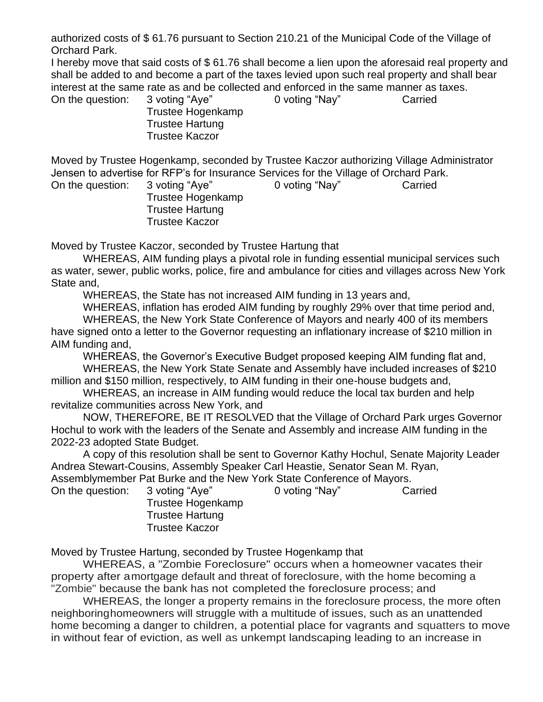authorized costs of \$ 61.76 pursuant to Section 210.21 of the Municipal Code of the Village of Orchard Park.

I hereby move that said costs of \$ 61.76 shall become a lien upon the aforesaid real property and shall be added to and become a part of the taxes levied upon such real property and shall bear interest at the same rate as and be collected and enforced in the same manner as taxes. On the question: 3 voting "Aye" 0 voting "Nay" Carried

Trustee Hogenkamp Trustee Hartung Trustee Kaczor

Moved by Trustee Hogenkamp, seconded by Trustee Kaczor authorizing Village Administrator Jensen to advertise for RFP's for Insurance Services for the Village of Orchard Park.

> Trustee Hogenkamp Trustee Hartung Trustee Kaczor

On the question: 3 voting "Aye" 0 voting "Nay" Carried

Moved by Trustee Kaczor, seconded by Trustee Hartung that

WHEREAS, AIM funding plays a pivotal role in funding essential municipal services such as water, sewer, public works, police, fire and ambulance for cities and villages across New York State and,

WHEREAS, the State has not increased AIM funding in 13 years and,

WHEREAS, inflation has eroded AIM funding by roughly 29% over that time period and, WHEREAS, the New York State Conference of Mayors and nearly 400 of its members

have signed onto a letter to the Governor requesting an inflationary increase of \$210 million in AIM funding and,

WHEREAS, the Governor's Executive Budget proposed keeping AIM funding flat and, WHEREAS, the New York State Senate and Assembly have included increases of \$210 million and \$150 million, respectively, to AIM funding in their one-house budgets and,

WHEREAS, an increase in AIM funding would reduce the local tax burden and help revitalize communities across New York, and

NOW, THEREFORE, BE IT RESOLVED that the Village of Orchard Park urges Governor Hochul to work with the leaders of the Senate and Assembly and increase AIM funding in the 2022-23 adopted State Budget.

A copy of this resolution shall be sent to Governor Kathy Hochul, Senate Majority Leader Andrea Stewart-Cousins, Assembly Speaker Carl Heastie, Senator Sean M. Ryan, Assemblymember Pat Burke and the New York State Conference of Mayors.

On the question: 3 voting "Aye" 0 voting "Nay" Carried Trustee Hogenkamp Trustee Hartung Trustee Kaczor

Moved by Trustee Hartung, seconded by Trustee Hogenkamp that

WHEREAS, a "Zombie Foreclosure" occurs when a homeowner vacates their property after amortgage default and threat of foreclosure, with the home becoming a "Zombie" because the bank has not completed the foreclosure process; and

WHEREAS, the longer a property remains in the foreclosure process, the more often neighboringhomeowners will struggle with a multitude of issues, such as an unattended home becoming a danger to children, a potential place for vagrants and squatters to move in without fear of eviction, as well as unkempt landscaping leading to an increase in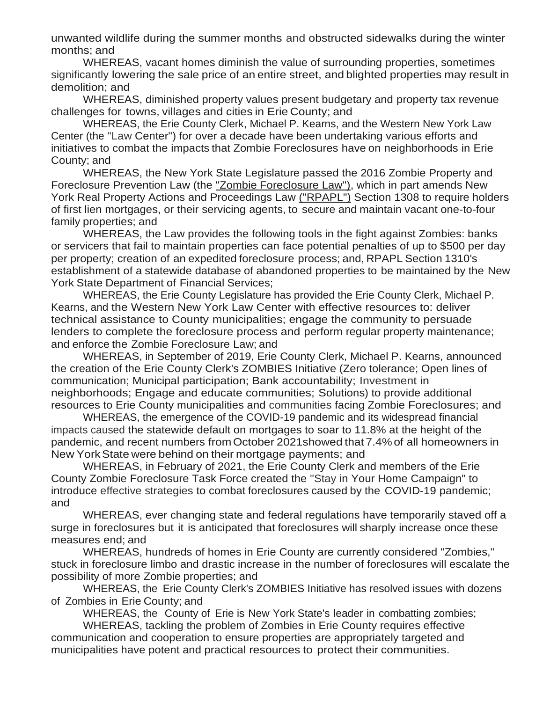unwanted wildlife during the summer months and obstructed sidewalks during the winter months; and

WHEREAS, vacant homes diminish the value of surrounding properties, sometimes significantly lowering the sale price of an entire street, and blighted properties may result in demolition; and

WHEREAS, diminished property values present budgetary and property tax revenue challenges for towns, villages and cities in Erie County; and

WHEREAS, the Erie County Clerk, Michael P. Kearns, and the Western New York Law Center (the "Law Center") for over a decade have been undertaking various efforts and initiatives to combat the impacts that Zombie Foreclosures have on neighborhoods in Erie County; and

WHEREAS, the New York State Legislature passed the 2016 Zombie Property and Foreclosure Prevention Law (the "Zombie Foreclosure Law"), which in part amends New York Real Property Actions and Proceedings Law ("RPAPL") Section 1308 to require holders of first lien mortgages, or their servicing agents, to secure and maintain vacant one-to-four family properties; and

WHEREAS, the Law provides the following tools in the fight against Zombies: banks or servicers that fail to maintain properties can face potential penalties of up to \$500 per day per property; creation of an expedited foreclosure process; and, RPAPL Section 1310's establishment of a statewide database of abandoned properties to be maintained by the New York State Department of Financial Services;

WHEREAS, the Erie County Legislature has provided the Erie County Clerk, Michael P. Kearns, and the Western New York Law Center with effective resources to: deliver technical assistance to County municipalities; engage the community to persuade lenders to complete the foreclosure process and perform regular property maintenance; and enforce the Zombie Foreclosure Law; and

WHEREAS, in September of 2019, Erie County Clerk, Michael P. Kearns, announced the creation of the Erie County Clerk's ZOMBIES Initiative (Zero tolerance; Open lines of communication; Municipal participation; Bank accountability; Investment in neighborhoods; Engage and educate communities; Solutions) to provide additional resources to Erie County municipalities and communities facing Zombie Foreclosures; and

WHEREAS, the emergence of the COVID-19 pandemic and its widespread financial impacts caused the statewide default on mortgages to soar to 11.8% at the height of the pandemic, and recent numbers from October 2021showed that 7.4%of all homeowners in New YorkState were behind on their mortgage payments; and

WHEREAS, in February of 2021, the Erie County Clerk and members of the Erie County Zombie Foreclosure Task Force created the "Stay in Your Home Campaign" to introduce effective strategies to combat foreclosures caused by the COVID-19 pandemic; and

WHEREAS, ever changing state and federal regulations have temporarily staved off a surge in foreclosures but it is anticipated that foreclosures will sharply increase once these measures end; and

WHEREAS, hundreds of homes in Erie County are currently considered "Zombies," stuck in foreclosure limbo and drastic increase in the number of foreclosures will escalate the possibility of more Zombie properties; and

WHEREAS, the Erie County Clerk's ZOMBIES Initiative has resolved issues with dozens of Zombies in Erie County; and

WHEREAS, the County of Erie is New York State's leader in combatting zombies;

WHEREAS, tackling the problem of Zombies in Erie County requires effective communication and cooperation to ensure properties are appropriately targeted and municipalities have potent and practical resources to protect their communities.